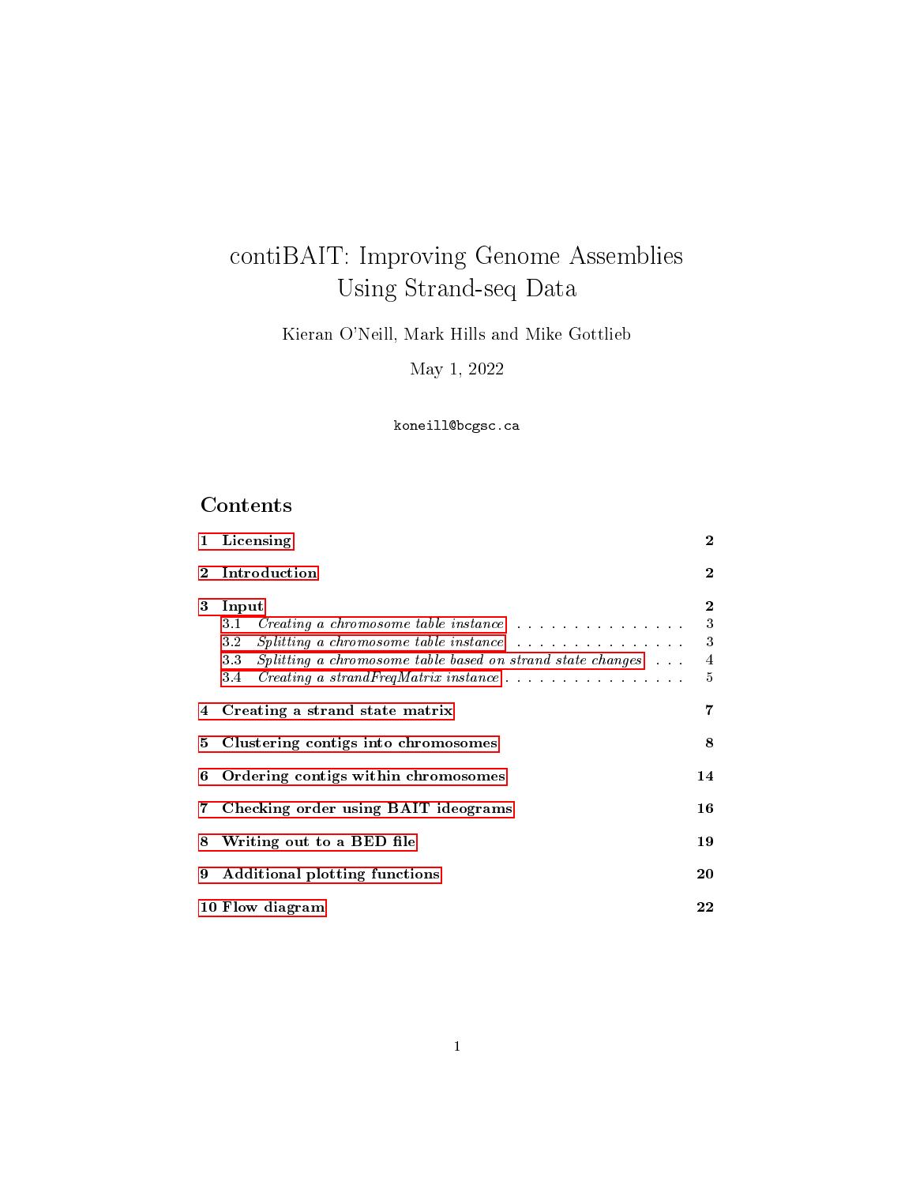# contiBAIT: Improving Genome Assemblies Using Strand-seq Data

Kieran O'Neill, Mark Hills and Mike Gottlieb

May 1, 2022

koneill@bcgsc.ca

# Contents

|             | 1 Licensing                                                                                                                                                                                                                                                                                                                                                                      | $\overline{2}$ |  |  |  |  |
|-------------|----------------------------------------------------------------------------------------------------------------------------------------------------------------------------------------------------------------------------------------------------------------------------------------------------------------------------------------------------------------------------------|----------------|--|--|--|--|
| $\bf{2}$    | Introduction                                                                                                                                                                                                                                                                                                                                                                     |                |  |  |  |  |
| 3           | Input<br>Creating a chromosome table instance expansion of the contract of the contract of the contract of the contract of the contract of the contract of the contract of the contract of the contract of the contract of the contract<br>3.1<br>32<br><i>Splitting a chromosome table instance</i><br>Splitting a chromosome table based on strand state changes<br>3.3<br>3.4 |                |  |  |  |  |
|             | 4 Creating a strand state matrix                                                                                                                                                                                                                                                                                                                                                 |                |  |  |  |  |
| 5.          | Clustering contigs into chromosomes                                                                                                                                                                                                                                                                                                                                              |                |  |  |  |  |
|             | 6 Ordering contigs within chromosomes                                                                                                                                                                                                                                                                                                                                            |                |  |  |  |  |
| $7^{\circ}$ | 16<br>Checking order using BAIT ideograms                                                                                                                                                                                                                                                                                                                                        |                |  |  |  |  |
| 8           | 14<br>19<br>Writing out to a BED file<br><b>Additional plotting functions</b>                                                                                                                                                                                                                                                                                                    |                |  |  |  |  |
| 9           |                                                                                                                                                                                                                                                                                                                                                                                  |                |  |  |  |  |
|             | 10 Flow diagram                                                                                                                                                                                                                                                                                                                                                                  |                |  |  |  |  |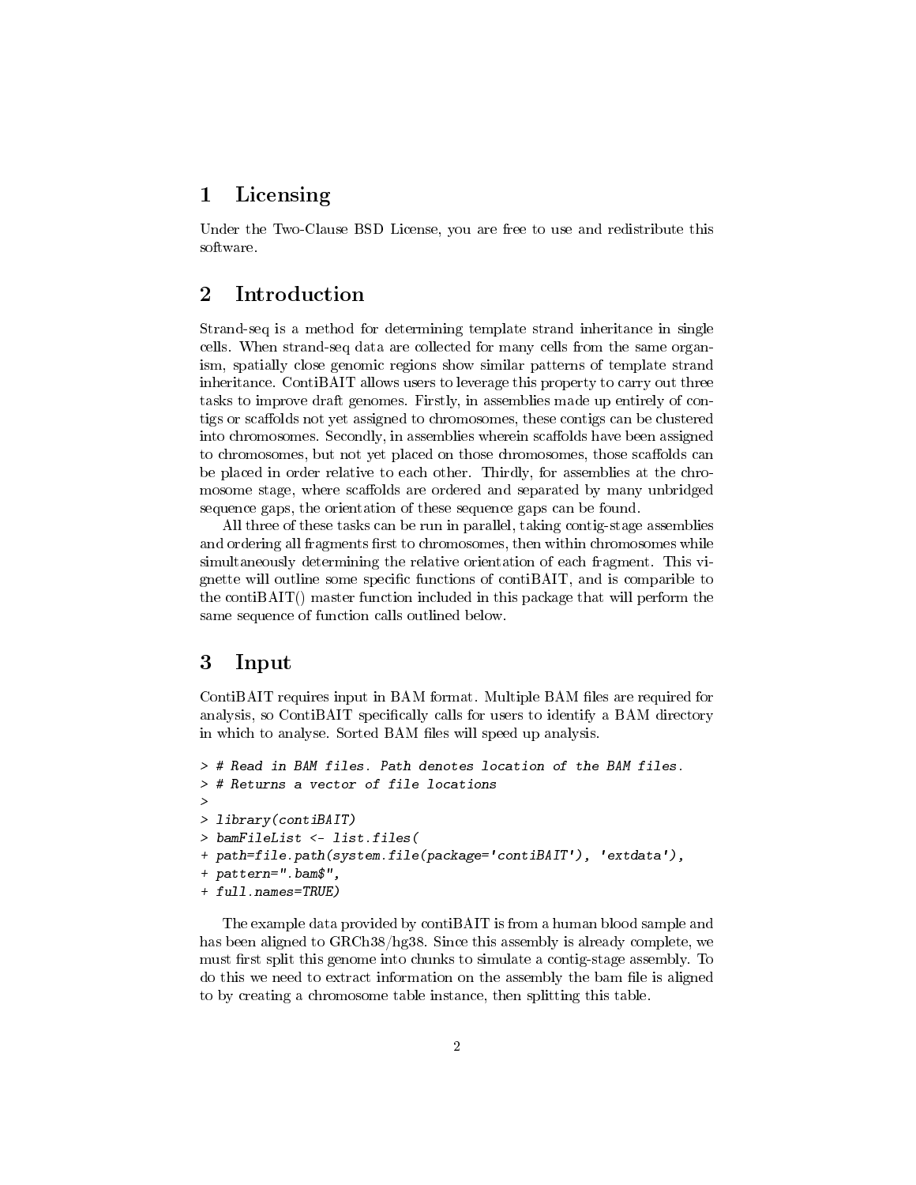## <span id="page-1-0"></span>1 Licensing

Under the Two-Clause BSD License, you are free to use and redistribute this software.

## <span id="page-1-1"></span>2 Introduction

Strand-seq is a method for determining template strand inheritance in single cells. When strand-seq data are collected for many cells from the same organism, spatially close genomic regions show similar patterns of template strand inheritance. ContiBAIT allows users to leverage this property to carry out three tasks to improve draft genomes. Firstly, in assemblies made up entirely of contigs or scaffolds not yet assigned to chromosomes, these contigs can be clustered into chromosomes. Secondly, in assemblies wherein scaffolds have been assigned to chromosomes, but not yet placed on those chromosomes, those scaffolds can be placed in order relative to each other. Thirdly, for assemblies at the chromosome stage, where scaffolds are ordered and separated by many unbridged sequence gaps, the orientation of these sequence gaps can be found.

All three of these tasks can be run in parallel, taking contig-stage assemblies and ordering all fragments first to chromosomes, then within chromosomes while simultaneously determining the relative orientation of each fragment. This vignette will outline some specific functions of contiBAIT, and is comparible to the contiBAIT() master function included in this package that will perform the same sequence of function calls outlined below.

### <span id="page-1-2"></span>3 Input

ContiBAIT requires input in BAM format. Multiple BAM files are required for analysis, so ContiBAIT specifically calls for users to identify a BAM directory in which to analyse. Sorted BAM files will speed up analysis.

```
> # Read in BAM files. Path denotes location of the BAM files.
> # Returns a vector of file locations
>
> library(contiBAIT)
> bamFileList <- list.files(
+ path=file.path(system.file(package='contiBAIT'), 'extdata'),
+ pattern=".bam$",
+ full.names=TRUE)
```
The example data provided by contiBAIT is from a human blood sample and has been aligned to GRCh38/hg38. Since this assembly is already complete, we must first split this genome into chunks to simulate a contig-stage assembly. To do this we need to extract information on the assembly the bam file is aligned to by creating a chromosome table instance, then splitting this table.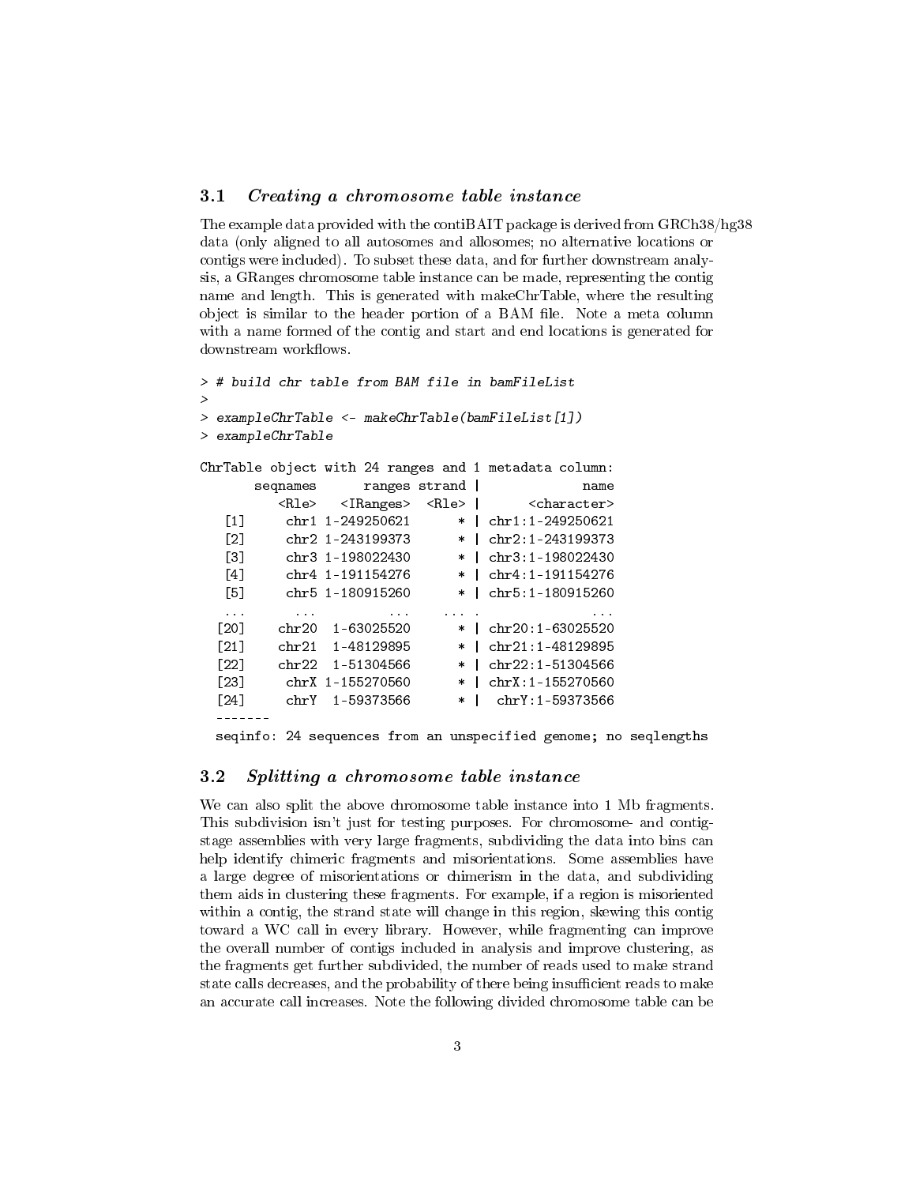#### <span id="page-2-0"></span>3.1 Creating a chromosome table instance

The example data provided with the contiBAIT package is derived from GRCh38/hg38 data (only aligned to all autosomes and allosomes; no alternative locations or contigs were included). To subset these data, and for further downstream analysis, a GRanges chromosome table instance can be made, representing the contig name and length. This is generated with makeChrTable, where the resulting object is similar to the header portion of a BAM file. Note a meta column with a name formed of the contig and start and end locations is generated for downstream workflows.

```
> # build chr table from BAM file in bamFileList
>
> exampleChrTable <- makeChrTable(bamFileList[1])
> exampleChrTable
ChrTable object with 24 ranges and 1 metadata column:
      seqnames ranges strand | name
        <Rle> <IRanges> <Rle> | <character>
  [1] chr1 1-249250621 * | chr1:1-249250621
  [2] chr2 1-243199373 * | chr2:1-243199373
  [3] chr3 1-198022430 * | chr3:1-198022430
  [4] chr4 1-191154276 * | chr4:1-191154276
  [5] chr5 1-180915260 * | chr5:1-180915260
  ... ... ... ... . ...
 [20] chr20 1-63025520 * | chr20:1-63025520
 [21] chr21 1-48129895 * | chr21:1-48129895
 \lceil 22 \rceil chr22 1-51304566 * | chr22:1-51304566
 [23] chrX 1-155270560 * | chrX:1-155270560
 [24] chrY 1-59373566 * | chrY:1-59373566
  -------
 seqinfo: 24 sequences from an unspecified genome; no seqlengths
```
#### <span id="page-2-1"></span>3.2 Splitting a chromosome table instance

We can also split the above chromosome table instance into 1 Mb fragments. This subdivision isn't just for testing purposes. For chromosome- and contigstage assemblies with very large fragments, subdividing the data into bins can help identify chimeric fragments and misorientations. Some assemblies have a large degree of misorientations or chimerism in the data, and subdividing them aids in clustering these fragments. For example, if a region is misoriented within a contig, the strand state will change in this region, skewing this contig toward a WC call in every library. However, while fragmenting can improve the overall number of contigs included in analysis and improve clustering, as the fragments get further subdivided, the number of reads used to make strand state calls decreases, and the probability of there being insufficient reads to make an accurate call increases. Note the following divided chromosome table can be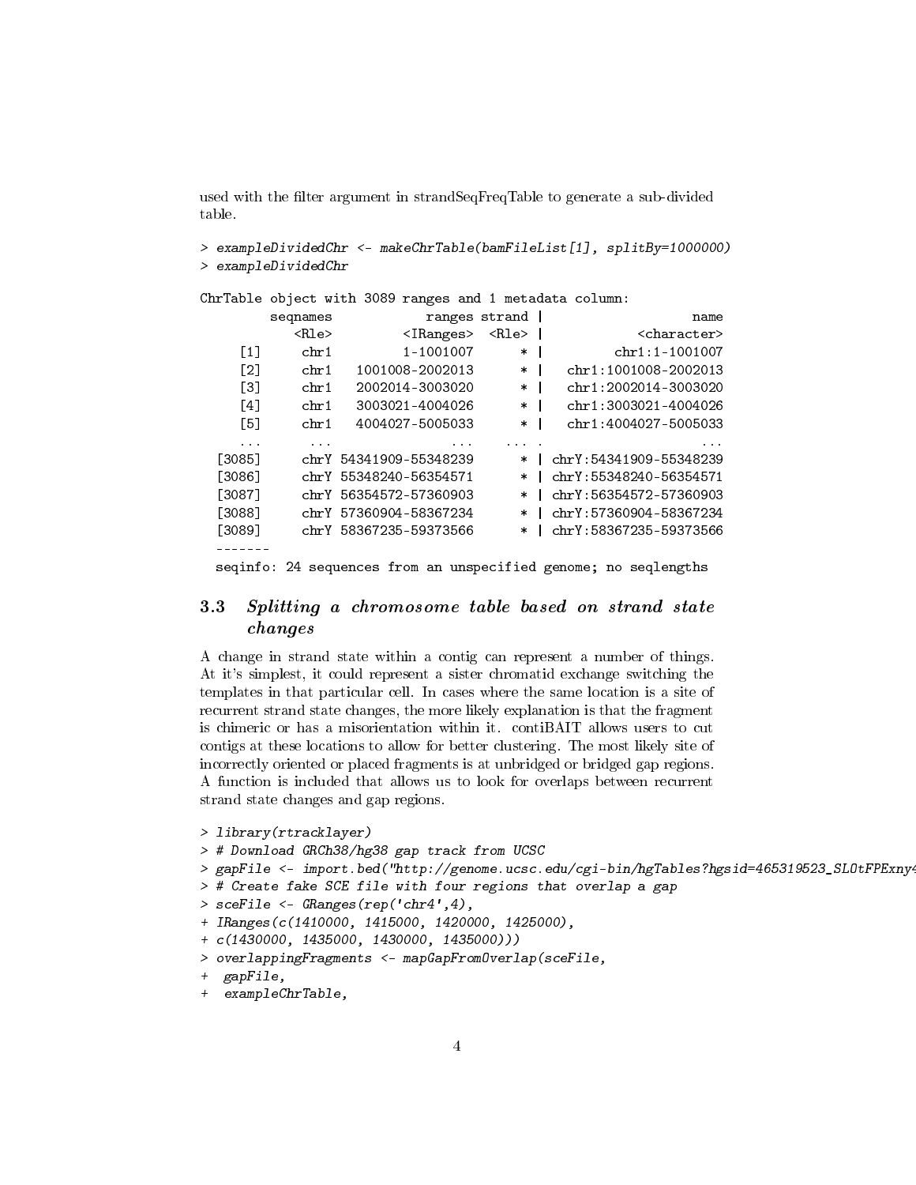used with the filter argument in strandSeqFreqTable to generate a sub-divided table.

> exampleDividedChr <- makeChrTable(bamFileList[1], splitBy=1000000) > exampleDividedChr

ChrTable object with 3089 ranges and 1 metadata column:

|                                                                    | seqnames                | ranges                      | strand      | name                    |  |  |
|--------------------------------------------------------------------|-------------------------|-----------------------------|-------------|-------------------------|--|--|
|                                                                    | $\langle$ Rle $\rangle$ | $\langle$ IRanges $\rangle$ | <rle></rle> | <character></character> |  |  |
| $\lceil 1 \rceil$                                                  | chr1                    | 1-1001007                   | $\ast$      | $chr1:1-1001007$        |  |  |
| $\lceil 2 \rceil$                                                  | chr1                    | 1001008-2002013             | $\ast$      | chr1:1001008-2002013    |  |  |
| [3]                                                                | chr1                    | 2002014-3003020             | $\ast$      | chr1:2002014-3003020    |  |  |
| [4]                                                                | chr1                    | 3003021-4004026             | $\ast$      | chr1:3003021-4004026    |  |  |
| $\lceil 5 \rceil$                                                  | chr1                    | 4004027-5005033             | $\ast$      | chr1:4004027-5005033    |  |  |
| $\cdots$                                                           | $\cdots$                |                             |             |                         |  |  |
| [3085]                                                             |                         | chrY 54341909-55348239      | $\ast$      | chrY:54341909-55348239  |  |  |
| [3086]                                                             |                         | chrY 55348240-56354571      | $\ast$      | chrY: 55348240-56354571 |  |  |
| [3087]                                                             |                         | chrY 56354572-57360903      | $\ast$      | chrY:56354572-57360903  |  |  |
| [3088]                                                             |                         | chrY 57360904-58367234      | $\ast$      | chrY:57360904-58367234  |  |  |
| [3089]                                                             |                         | chrY 58367235-59373566      | $\ast$      | chrY:58367235-59373566  |  |  |
|                                                                    |                         |                             |             |                         |  |  |
| 24 sequences from an unspecified genome; no seqlengths<br>seginfo: |                         |                             |             |                         |  |  |

#### <span id="page-3-0"></span>3.3 Splitting a chromosome table based on strand state changes

A change in strand state within a contig can represent a number of things. At it's simplest, it could represent a sister chromatid exchange switching the templates in that particular cell. In cases where the same location is a site of recurrent strand state changes, the more likely explanation is that the fragment is chimeric or has a misorientation within it. contiBAIT allows users to cut contigs at these locations to allow for better clustering. The most likely site of incorrectly oriented or placed fragments is at unbridged or bridged gap regions. A function is included that allows us to look for overlaps between recurrent strand state changes and gap regions.

```
> library(rtracklayer)
> # Download GRCh38/hg38 gap track from UCSC
> gapFile <- import.bed("http://genome.ucsc.edu/cgi-bin/hgTables?hgsid=465319523_SLOtFPExny
> # Create fake SCE file with four regions that overlap a gap
> sceFile <- GRanges(rep('chr4',4),
+ IRanges(c(1410000, 1415000, 1420000, 1425000),
+ c(1430000, 1435000, 1430000, 1435000)))
> overlappingFragments <- mapGapFromOverlap(sceFile,
+ gapFile,
```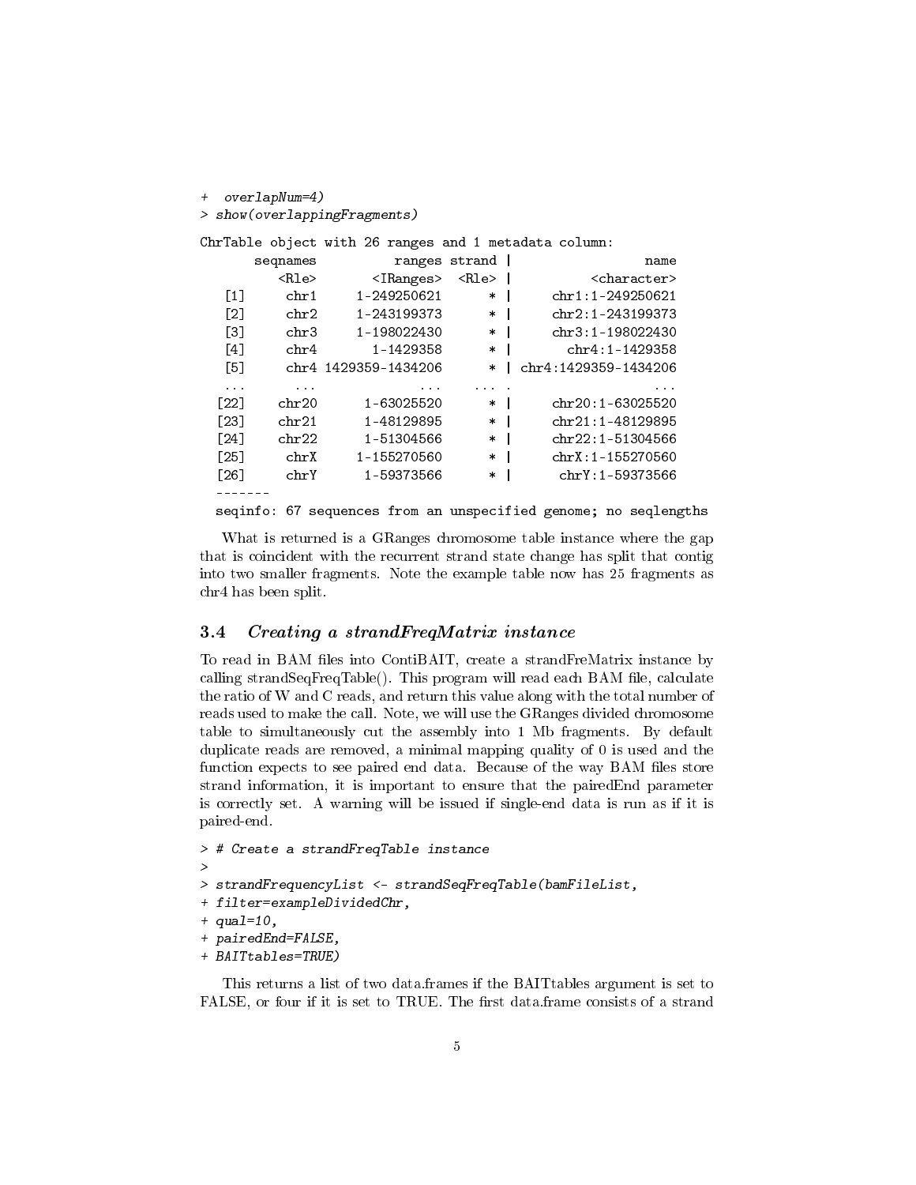```
+ overlapNum=4)
> show(overlappingFragments)
ChrTable object with 26 ranges and 1 metadata column:
     seqnames ranges strand and rame
       <Rle> <IRanges> <Rle> | <character>
  [1] chr1  1-249250621  * | chr1:1-249250621
  [2] chr2 1-243199373 * | chr2:1-243199373
  [3] chr3 1-198022430 * | chr3:1-198022430
  [4] chr4 1-1429358 * | chr4:1-1429358
  [5] chr4 1429359-1434206 * | chr4:1429359-1434206
  ... ... ... ... . ...
 [22] chr20 1-63025520 * | chr20:1-63025520
 [23] chr21 1-48129895 * | chr21:1-48129895
 [24] chr22 1-51304566 * | chr22:1-51304566
 [25] chrX 1-155270560 * | chrX:1-155270560
 [26] chrY 1-59373566 * | chrY:1-59373566
 -------
 seqinfo: 67 sequences from an unspecified genome; no seqlengths
```
What is returned is a GRanges chromosome table instance where the gap that is coincident with the recurrent strand state change has split that contig into two smaller fragments. Note the example table now has 25 fragments as chr4 has been split.

#### <span id="page-4-0"></span>3.4 Creating a strandFreqMatrix instance

To read in BAM files into ContiBAIT, create a strandFreMatrix instance by calling strand $SeqFreqTable()$ . This program will read each BAM file, calculate the ratio of W and C reads, and return this value along with the total number of reads used to make the call. Note, we will use the GRanges divided chromosome table to simultaneously cut the assembly into 1 Mb fragments. By default duplicate reads are removed, a minimal mapping quality of 0 is used and the function expects to see paired end data. Because of the way BAM files store strand information, it is important to ensure that the pairedEnd parameter is correctly set. A warning will be issued if single-end data is run as if it is paired-end.

```
> # Create a strandFreqTable instance
>
> strandFrequencyList <- strandSeqFreqTable(bamFileList,
+ filter=exampleDividedChr,
+ qual=10,
+ pairedEnd=FALSE,
+ BAITtables=TRUE)
```
This returns a list of two data.frames if the BAITtables argument is set to FALSE, or four if it is set to TRUE. The first data.frame consists of a strand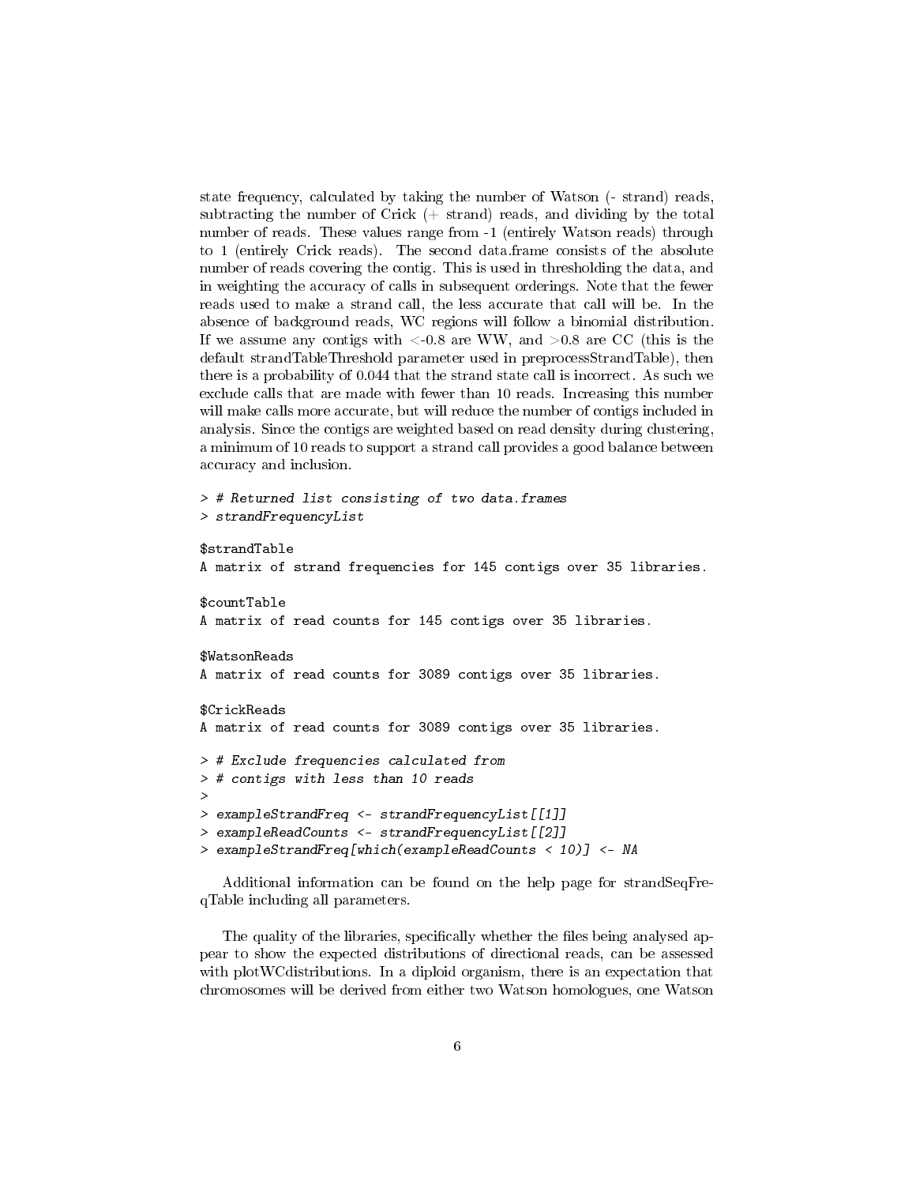state frequency, calculated by taking the number of Watson (- strand) reads, subtracting the number of Crick  $(+)$  strand) reads, and dividing by the total number of reads. These values range from -1 (entirely Watson reads) through to 1 (entirely Crick reads). The second data.frame consists of the absolute number of reads covering the contig. This is used in thresholding the data, and in weighting the accuracy of calls in subsequent orderings. Note that the fewer reads used to make a strand call, the less accurate that call will be. In the absence of background reads, WC regions will follow a binomial distribution. If we assume any contigs with  $\langle -0.8 \rangle$  are WW, and  $\langle -0.8 \rangle$  are CC (this is the default strandTableThreshold parameter used in preprocessStrandTable), then there is a probability of 0.044 that the strand state call is incorrect. As such we exclude calls that are made with fewer than 10 reads. Increasing this number will make calls more accurate, but will reduce the number of contigs included in analysis. Since the contigs are weighted based on read density during clustering, a minimum of 10 reads to support a strand call provides a good balance between accuracy and inclusion.

```
> # Returned list consisting of two data.frames
> strandFrequencyList
$strandTable
A matrix of strand frequencies for 145 contigs over 35 libraries.
$countTable
A matrix of read counts for 145 contigs over 35 libraries.
$WatsonReads
A matrix of read counts for 3089 contigs over 35 libraries.
$CrickReads
A matrix of read counts for 3089 contigs over 35 libraries.
> # Exclude frequencies calculated from
> # contigs with less than 10 reads
>
> exampleStrandFreq <- strandFrequencyList[[1]]
> exampleReadCounts <- strandFrequencyList[[2]]
> exampleStrandFreq[which(exampleReadCounts < 10)] <- NA
```
Additional information can be found on the help page for strandSeqFreqTable including all parameters.

The quality of the libraries, specifically whether the files being analysed appear to show the expected distributions of directional reads, can be assessed with plot WC distributions. In a diploid organism, there is an expectation that chromosomes will be derived from either two Watson homologues, one Watson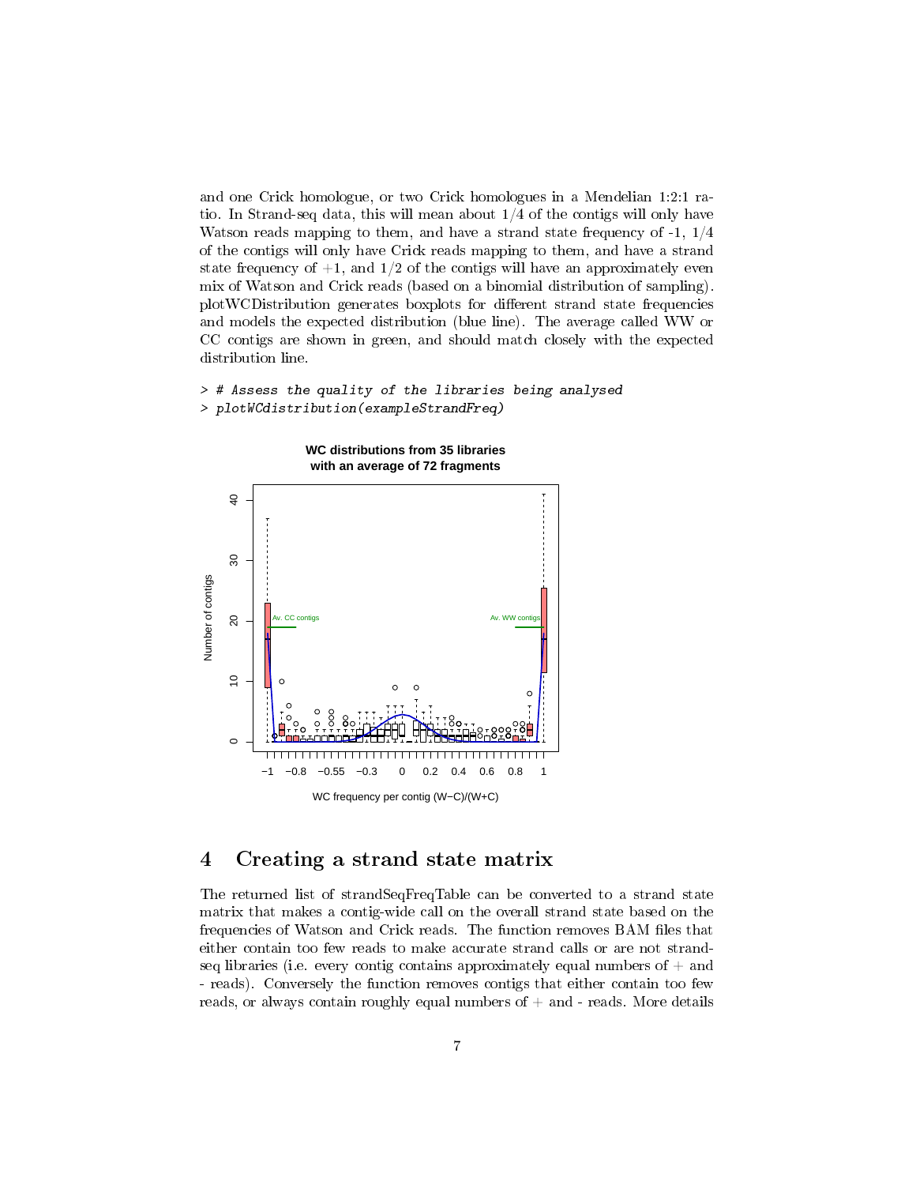and one Crick homologue, or two Crick homologues in a Mendelian 1:2:1 ratio. In Strand-seq data, this will mean about 1/4 of the contigs will only have Watson reads mapping to them, and have a strand state frequency of -1, 1/4 of the contigs will only have Crick reads mapping to them, and have a strand state frequency of  $+1$ , and  $1/2$  of the contigs will have an approximately even mix of Watson and Crick reads (based on a binomial distribution of sampling). plotWCDistribution generates boxplots for different strand state frequencies and models the expected distribution (blue line). The average called WW or CC contigs are shown in green, and should match closely with the expected distribution line.

#### > # Assess the quality of the libraries being analysed > plotWCdistribution(exampleStrandFreq)



## <span id="page-6-0"></span>4 Creating a strand state matrix

The returned list of strandSeqFreqTable can be converted to a strand state matrix that makes a contig-wide call on the overall strand state based on the frequencies of Watson and Crick reads. The function removes BAM files that either contain too few reads to make accurate strand calls or are not strandseq libraries (i.e. every contig contains approximately equal numbers of  $+$  and - reads). Conversely the function removes contigs that either contain too few reads, or always contain roughly equal numbers of  $+$  and  $-$  reads. More details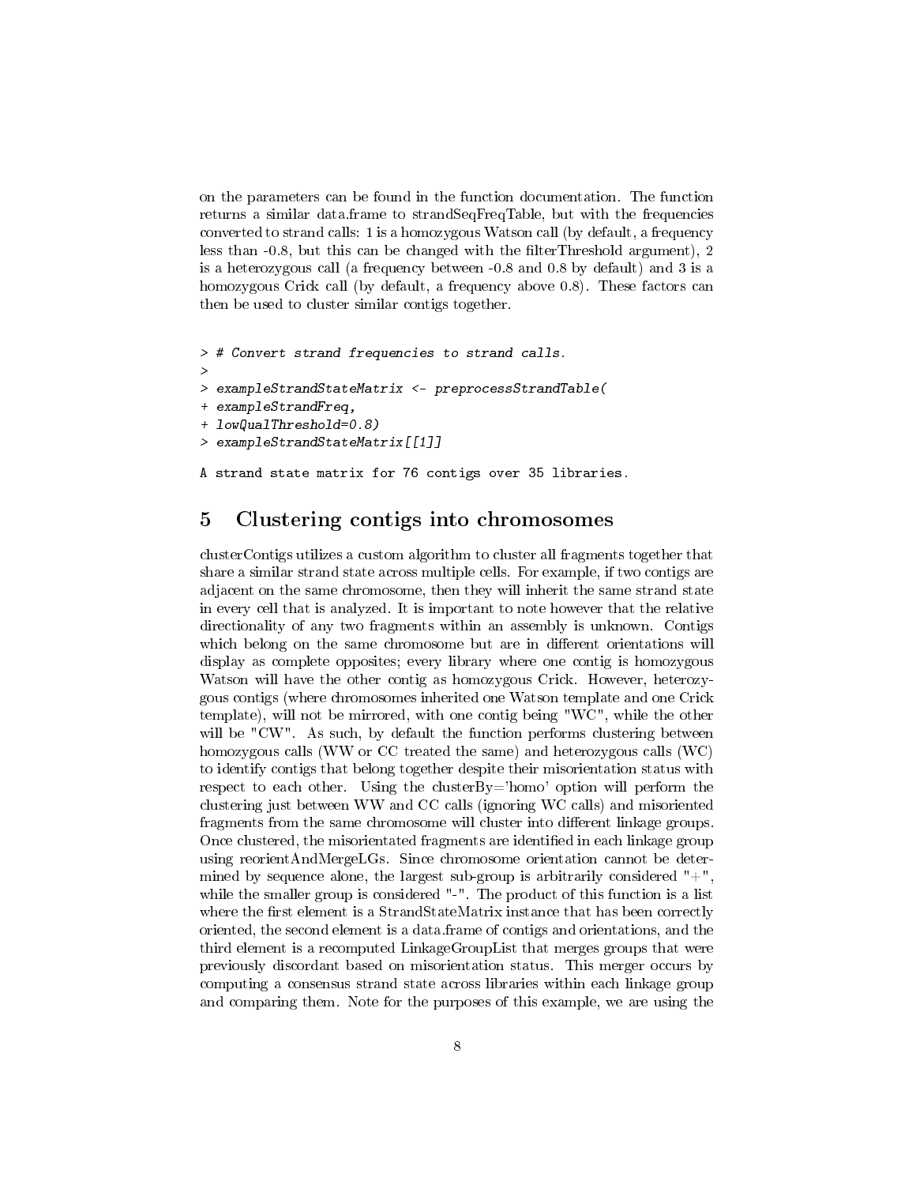on the parameters can be found in the function documentation. The function returns a similar data.frame to strandSeqFreqTable, but with the frequencies converted to strand calls: 1 is a homozygous Watson call (by default, a frequency less than  $-0.8$ , but this can be changed with the filterThreshold argument), 2 is a heterozygous call (a frequency between -0.8 and 0.8 by default) and 3 is a homozygous Crick call (by default, a frequency above 0.8). These factors can then be used to cluster similar contigs together.

```
> # Convert strand frequencies to strand calls.
>
> exampleStrandStateMatrix <- preprocessStrandTable(
+ exampleStrandFreq,
+ lowQualThreshold=0.8)
> exampleStrandStateMatrix[[1]]
```
# A strand state matrix for 76 contigs over 35 libraries.

## <span id="page-7-0"></span>5 Clustering contigs into chromosomes

clusterContigs utilizes a custom algorithm to cluster all fragments together that share a similar strand state across multiple cells. For example, if two contigs are adjacent on the same chromosome, then they will inherit the same strand state in every cell that is analyzed. It is important to note however that the relative directionality of any two fragments within an assembly is unknown. Contigs which belong on the same chromosome but are in different orientations will display as complete opposites; every library where one contig is homozygous Watson will have the other contig as homozygous Crick. However, heterozygous contigs (where chromosomes inherited one Watson template and one Crick template), will not be mirrored, with one contig being "WC", while the other will be "CW". As such, by default the function performs clustering between homozygous calls (WW or CC treated the same) and heterozygous calls (WC) to identify contigs that belong together despite their misorientation status with respect to each other. Using the clusterBy='homo' option will perform the clustering just between WW and CC calls (ignoring WC calls) and misoriented fragments from the same chromosome will cluster into different linkage groups. Once clustered, the misorientated fragments are identified in each linkage group using reorientAndMergeLGs. Since chromosome orientation cannot be determined by sequence alone, the largest sub-group is arbitrarily considered  $"$ + $"$ , while the smaller group is considered "-". The product of this function is a list where the first element is a StrandStateMatrix instance that has been correctly oriented, the second element is a data.frame of contigs and orientations, and the third element is a recomputed LinkageGroupList that merges groups that were previously discordant based on misorientation status. This merger occurs by computing a consensus strand state across libraries within each linkage group and comparing them. Note for the purposes of this example, we are using the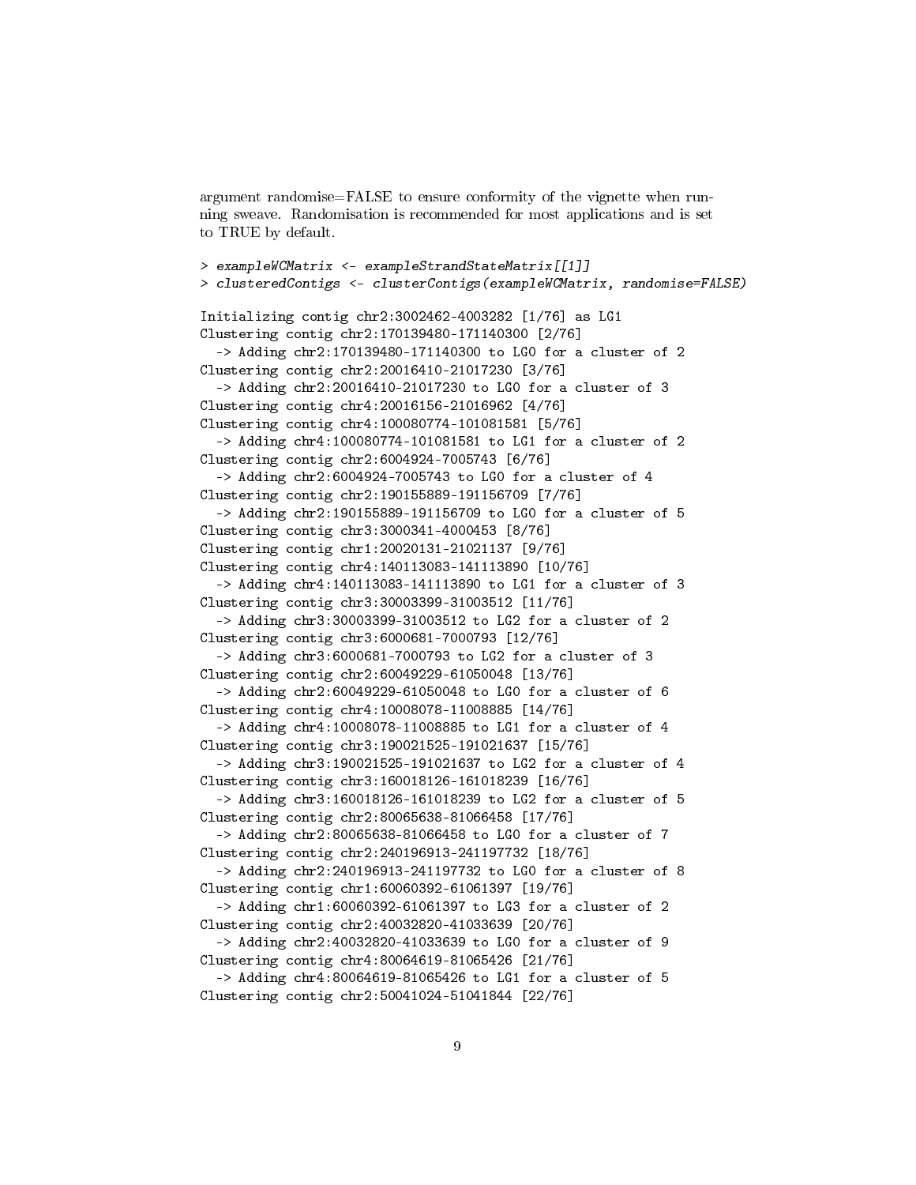argument randomise=FALSE to ensure conformity of the vignette when running sweave. Randomisation is recommended for most applications and is set to TRUE by default.

```
> exampleWCMatrix <- exampleStrandStateMatrix[[1]]
> clusteredContigs <- clusterContigs(exampleWCMatrix, randomise=FALSE)
Initializing contig chr2:3002462-4003282 [1/76] as LG1
Clustering contig chr2:170139480-171140300 [2/76]
  -> Adding chr2:170139480-171140300 to LG0 for a cluster of 2
Clustering contig chr2:20016410-21017230 [3/76]
  -> Adding chr2:20016410-21017230 to LG0 for a cluster of 3
Clustering contig chr4:20016156-21016962 [4/76]
Clustering contig chr4:100080774-101081581 [5/76]
  -> Adding chr4:100080774-101081581 to LG1 for a cluster of 2
Clustering contig chr2:6004924-7005743 [6/76]
  -> Adding chr2:6004924-7005743 to LG0 for a cluster of 4
Clustering contig chr2:190155889-191156709 [7/76]
  -> Adding chr2:190155889-191156709 to LG0 for a cluster of 5
Clustering contig chr3:3000341-4000453 [8/76]
Clustering contig chr1:20020131-21021137 [9/76]
Clustering contig chr4:140113083-141113890 [10/76]
  -> Adding chr4:140113083-141113890 to LG1 for a cluster of 3
Clustering contig chr3:30003399-31003512 [11/76]
  -> Adding chr3:30003399-31003512 to LG2 for a cluster of 2
Clustering contig chr3:6000681-7000793 [12/76]
  -> Adding chr3:6000681-7000793 to LG2 for a cluster of 3
Clustering contig chr2:60049229-61050048 [13/76]
  -> Adding chr2:60049229-61050048 to LG0 for a cluster of 6
Clustering contig chr4:10008078-11008885 [14/76]
  -> Adding chr4:10008078-11008885 to LG1 for a cluster of 4
Clustering contig chr3:190021525-191021637 [15/76]
  -> Adding chr3:190021525-191021637 to LG2 for a cluster of 4
Clustering contig chr3:160018126-161018239 [16/76]
  -> Adding chr3:160018126-161018239 to LG2 for a cluster of 5
Clustering contig chr2:80065638-81066458 [17/76]
  -> Adding chr2:80065638-81066458 to LG0 for a cluster of 7
Clustering contig chr2:240196913-241197732 [18/76]
  -> Adding chr2:240196913-241197732 to LG0 for a cluster of 8
Clustering contig chr1:60060392-61061397 [19/76]
  -> Adding chr1:60060392-61061397 to LG3 for a cluster of 2
Clustering contig chr2:40032820-41033639 [20/76]
  -> Adding chr2:40032820-41033639 to LG0 for a cluster of 9
Clustering contig chr4:80064619-81065426 [21/76]
  -> Adding chr4:80064619-81065426 to LG1 for a cluster of 5
Clustering contig chr2:50041024-51041844 [22/76]
```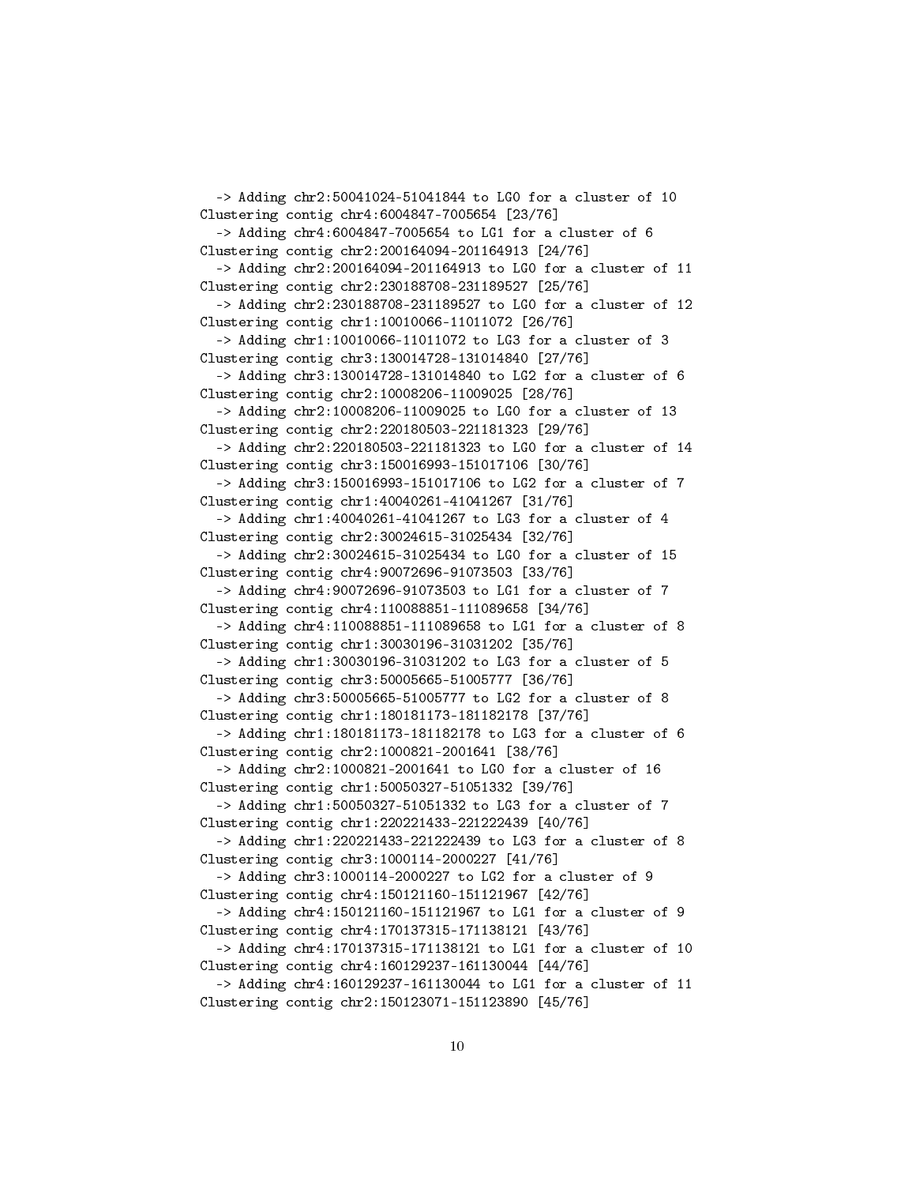-> Adding chr2:50041024-51041844 to LG0 for a cluster of 10 Clustering contig chr4:6004847-7005654 [23/76] -> Adding chr4:6004847-7005654 to LG1 for a cluster of 6 Clustering contig chr2:200164094-201164913 [24/76] -> Adding chr2:200164094-201164913 to LG0 for a cluster of 11 Clustering contig chr2:230188708-231189527 [25/76] -> Adding chr2:230188708-231189527 to LG0 for a cluster of 12 Clustering contig chr1:10010066-11011072 [26/76] -> Adding chr1:10010066-11011072 to LG3 for a cluster of 3 Clustering contig chr3:130014728-131014840 [27/76] -> Adding chr3:130014728-131014840 to LG2 for a cluster of 6 Clustering contig chr2:10008206-11009025 [28/76] -> Adding chr2:10008206-11009025 to LG0 for a cluster of 13 Clustering contig chr2:220180503-221181323 [29/76] -> Adding chr2:220180503-221181323 to LG0 for a cluster of 14 Clustering contig chr3:150016993-151017106 [30/76] -> Adding chr3:150016993-151017106 to LG2 for a cluster of 7 Clustering contig chr1:40040261-41041267 [31/76] -> Adding chr1:40040261-41041267 to LG3 for a cluster of 4 Clustering contig chr2:30024615-31025434 [32/76] -> Adding chr2:30024615-31025434 to LG0 for a cluster of 15 Clustering contig chr4:90072696-91073503 [33/76] -> Adding chr4:90072696-91073503 to LG1 for a cluster of 7 Clustering contig chr4:110088851-111089658 [34/76] -> Adding chr4:110088851-111089658 to LG1 for a cluster of 8 Clustering contig chr1:30030196-31031202 [35/76] -> Adding chr1:30030196-31031202 to LG3 for a cluster of 5 Clustering contig chr3:50005665-51005777 [36/76] -> Adding chr3:50005665-51005777 to LG2 for a cluster of 8 Clustering contig chr1:180181173-181182178 [37/76] -> Adding chr1:180181173-181182178 to LG3 for a cluster of 6 Clustering contig chr2:1000821-2001641 [38/76] -> Adding chr2:1000821-2001641 to LG0 for a cluster of 16 Clustering contig chr1:50050327-51051332 [39/76] -> Adding chr1:50050327-51051332 to LG3 for a cluster of 7 Clustering contig chr1:220221433-221222439 [40/76] -> Adding chr1:220221433-221222439 to LG3 for a cluster of 8 Clustering contig chr3:1000114-2000227 [41/76] -> Adding chr3:1000114-2000227 to LG2 for a cluster of 9 Clustering contig chr4:150121160-151121967 [42/76] -> Adding chr4:150121160-151121967 to LG1 for a cluster of 9 Clustering contig chr4:170137315-171138121 [43/76] -> Adding chr4:170137315-171138121 to LG1 for a cluster of 10 Clustering contig chr4:160129237-161130044 [44/76] -> Adding chr4:160129237-161130044 to LG1 for a cluster of 11 Clustering contig chr2:150123071-151123890 [45/76]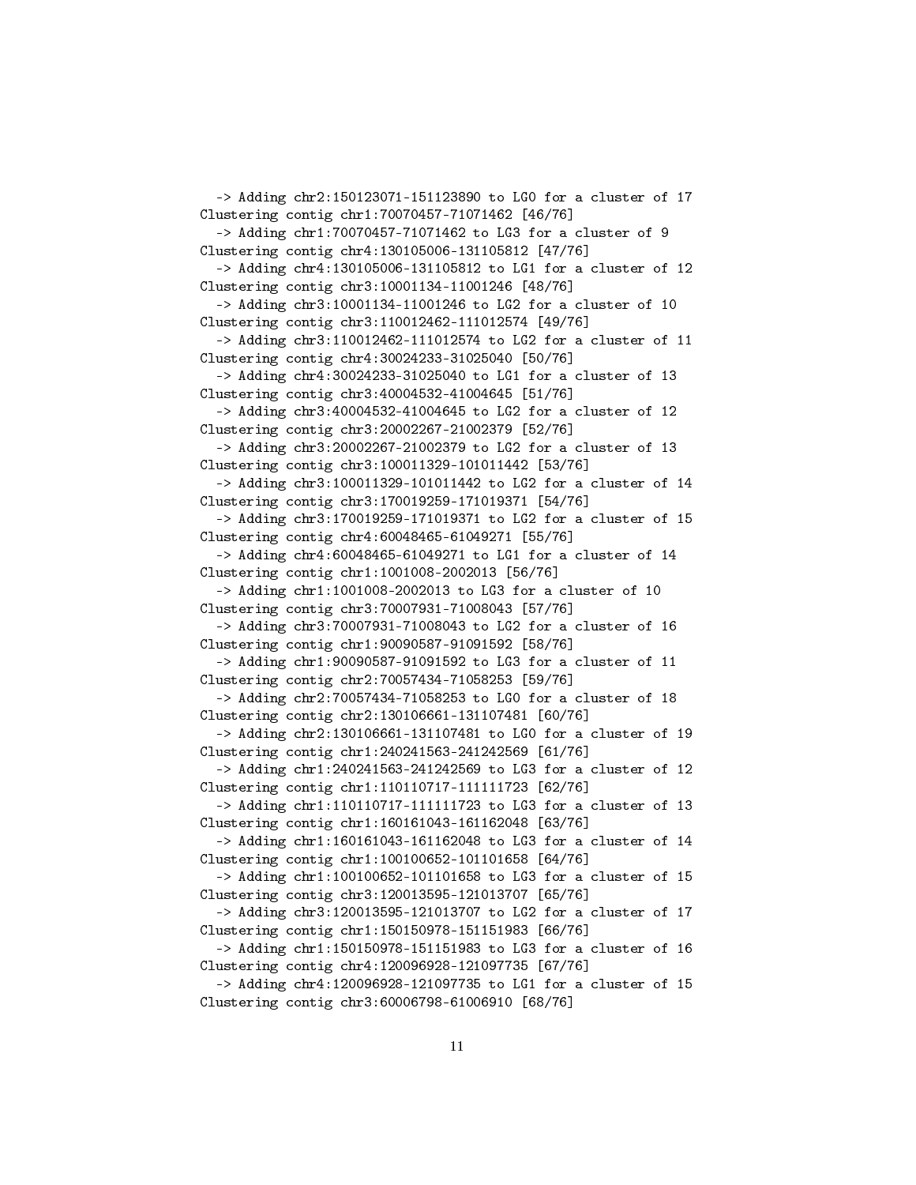-> Adding chr2:150123071-151123890 to LG0 for a cluster of 17 Clustering contig chr1:70070457-71071462 [46/76] -> Adding chr1:70070457-71071462 to LG3 for a cluster of 9 Clustering contig chr4:130105006-131105812 [47/76] -> Adding chr4:130105006-131105812 to LG1 for a cluster of 12 Clustering contig chr3:10001134-11001246 [48/76] -> Adding chr3:10001134-11001246 to LG2 for a cluster of 10 Clustering contig chr3:110012462-111012574 [49/76] -> Adding chr3:110012462-111012574 to LG2 for a cluster of 11 Clustering contig chr4:30024233-31025040 [50/76] -> Adding chr4:30024233-31025040 to LG1 for a cluster of 13 Clustering contig chr3:40004532-41004645 [51/76] -> Adding chr3:40004532-41004645 to LG2 for a cluster of 12 Clustering contig chr3:20002267-21002379 [52/76] -> Adding chr3:20002267-21002379 to LG2 for a cluster of 13 Clustering contig chr3:100011329-101011442 [53/76] -> Adding chr3:100011329-101011442 to LG2 for a cluster of 14 Clustering contig chr3:170019259-171019371 [54/76] -> Adding chr3:170019259-171019371 to LG2 for a cluster of 15 Clustering contig chr4:60048465-61049271 [55/76] -> Adding chr4:60048465-61049271 to LG1 for a cluster of 14 Clustering contig chr1:1001008-2002013 [56/76] -> Adding chr1:1001008-2002013 to LG3 for a cluster of 10 Clustering contig chr3:70007931-71008043 [57/76] -> Adding chr3:70007931-71008043 to LG2 for a cluster of 16 Clustering contig chr1:90090587-91091592 [58/76] -> Adding chr1:90090587-91091592 to LG3 for a cluster of 11 Clustering contig chr2:70057434-71058253 [59/76] -> Adding chr2:70057434-71058253 to LG0 for a cluster of 18 Clustering contig chr2:130106661-131107481 [60/76] -> Adding chr2:130106661-131107481 to LG0 for a cluster of 19 Clustering contig chr1:240241563-241242569 [61/76] -> Adding chr1:240241563-241242569 to LG3 for a cluster of 12 Clustering contig chr1:110110717-111111723 [62/76] -> Adding chr1:110110717-111111723 to LG3 for a cluster of 13 Clustering contig chr1:160161043-161162048 [63/76] -> Adding chr1:160161043-161162048 to LG3 for a cluster of 14 Clustering contig chr1:100100652-101101658 [64/76] -> Adding chr1:100100652-101101658 to LG3 for a cluster of 15 Clustering contig chr3:120013595-121013707 [65/76] -> Adding chr3:120013595-121013707 to LG2 for a cluster of 17 Clustering contig chr1:150150978-151151983 [66/76] -> Adding chr1:150150978-151151983 to LG3 for a cluster of 16 Clustering contig chr4:120096928-121097735 [67/76] -> Adding chr4:120096928-121097735 to LG1 for a cluster of 15 Clustering contig chr3:60006798-61006910 [68/76]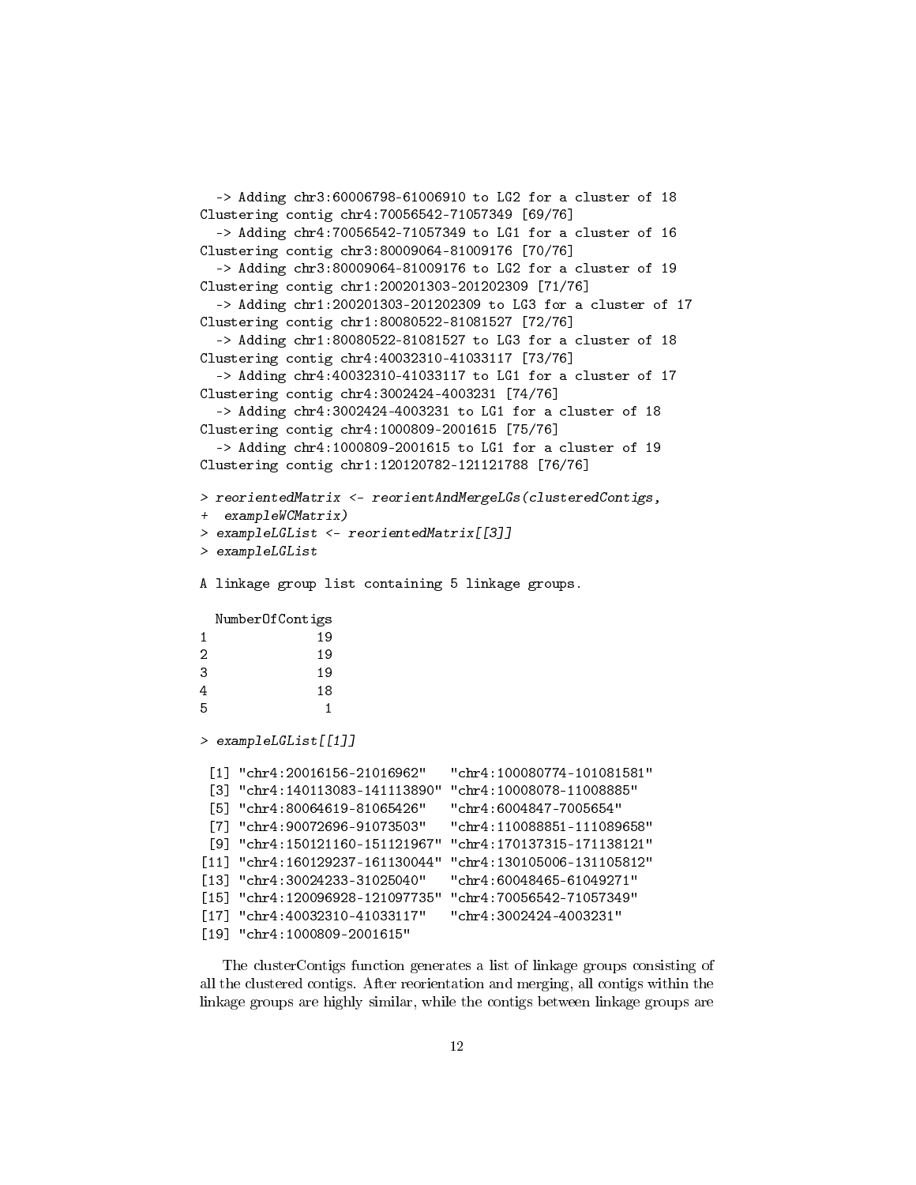```
-> Adding chr3:60006798-61006910 to LG2 for a cluster of 18
Clustering contig chr4:70056542-71057349 [69/76]
  -> Adding chr4:70056542-71057349 to LG1 for a cluster of 16
Clustering contig chr3:80009064-81009176 [70/76]
  -> Adding chr3:80009064-81009176 to LG2 for a cluster of 19
Clustering contig chr1:200201303-201202309 [71/76]
  -> Adding chr1:200201303-201202309 to LG3 for a cluster of 17
Clustering contig chr1:80080522-81081527 [72/76]
  -> Adding chr1:80080522-81081527 to LG3 for a cluster of 18
Clustering contig chr4:40032310-41033117 [73/76]
  -> Adding chr4:40032310-41033117 to LG1 for a cluster of 17
Clustering contig chr4:3002424-4003231 [74/76]
  -> Adding chr4:3002424-4003231 to LG1 for a cluster of 18
Clustering contig chr4:1000809-2001615 [75/76]
  -> Adding chr4:1000809-2001615 to LG1 for a cluster of 19
Clustering contig chr1:120120782-121121788 [76/76]
> reorientedMatrix <- reorientAndMergeLGs(clusteredContigs,
+ exampleWCMatrix)
> exampleLGList <- reorientedMatrix[[3]]
> exampleLGList
A linkage group list containing 5 linkage groups.
 NumberOfContigs
1 19
2 19
3 19
4 18
5 1
> exampleLGList[[1]]
 [1] "chr4:20016156-21016962" "chr4:100080774-101081581"
 [3] "chr4:140113083-141113890" "chr4:10008078-11008885"
 [5] "chr4:80064619-81065426" "chr4:6004847-7005654"
 [7] "chr4:90072696-91073503" "chr4:110088851-111089658"
 [9] "chr4:150121160-151121967" "chr4:170137315-171138121"
[11] "chr4:160129237-161130044" "chr4:130105006-131105812"
[13] "chr4:30024233-31025040" "chr4:60048465-61049271"
[15] "chr4:120096928-121097735" "chr4:70056542-71057349"
[17] "chr4:40032310-41033117" "chr4:3002424-4003231"
[19] "chr4:1000809-2001615"
```
The clusterContigs function generates a list of linkage groups consisting of all the clustered contigs. After reorientation and merging, all contigs within the linkage groups are highly similar, while the contigs between linkage groups are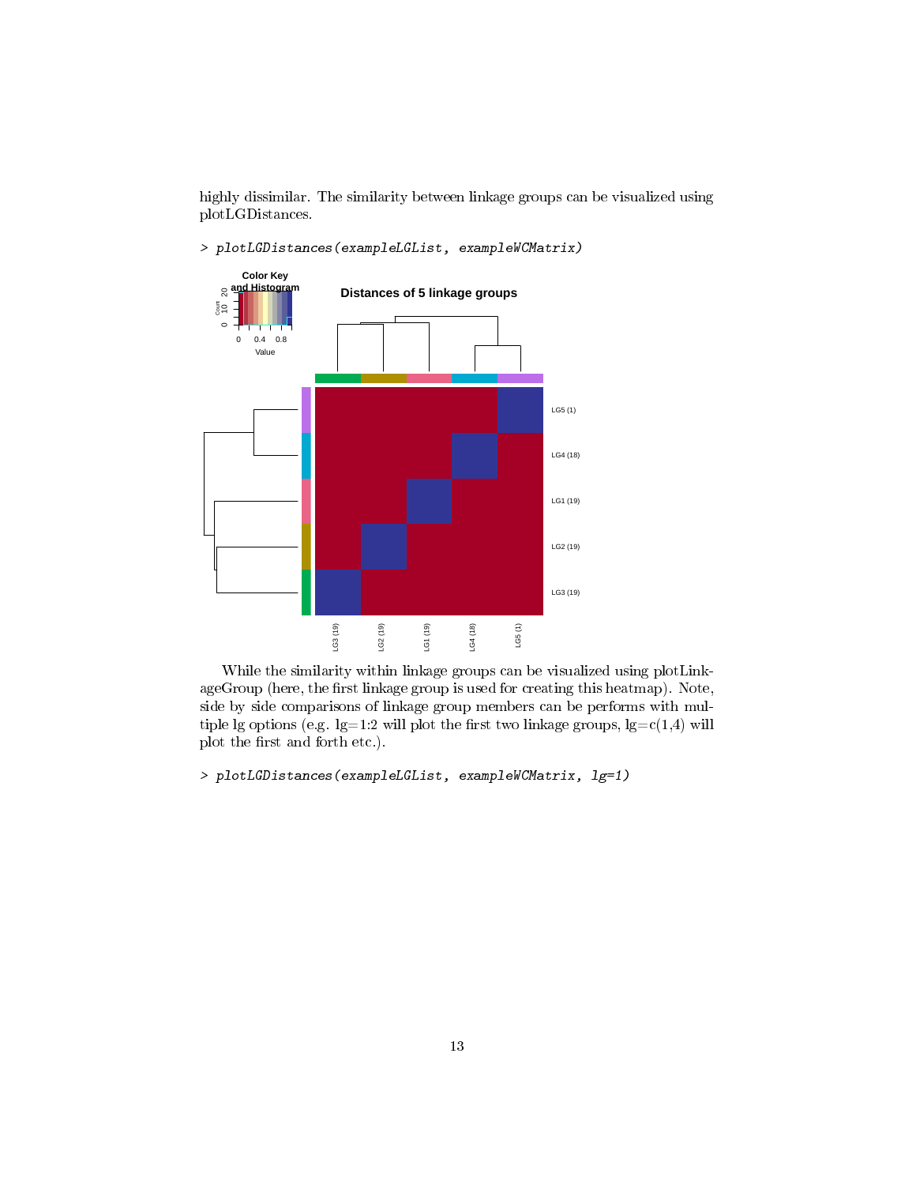highly dissimilar. The similarity between linkage groups can be visualized using plotLGDistances.

> plotLGDistances(exampleLGList, exampleWCMatrix)



While the similarity within linkage groups can be visualized using plotLinkageGroup (here, the first linkage group is used for creating this heatmap). Note, side by side comparisons of linkage group members can be performs with multiple lg options (e.g.  $lg=1:2$  will plot the first two linkage groups,  $lg=c(1,4)$  will plot the first and forth etc.).

```
> plotLGDistances(exampleLGList, exampleWCMatrix, lg=1)
```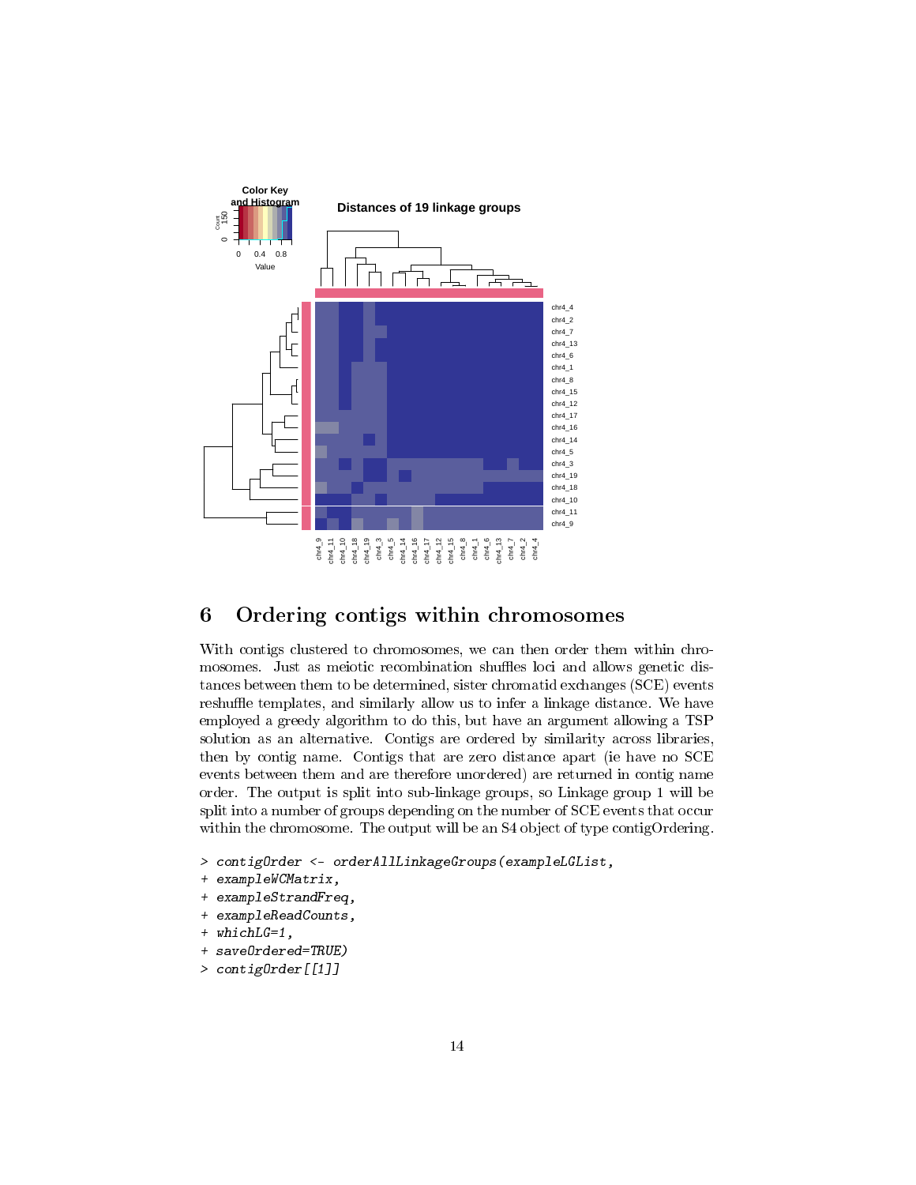

# <span id="page-13-0"></span>6 Ordering contigs within chromosomes

With contigs clustered to chromosomes, we can then order them within chromosomes. Just as meiotic recombination shuffles loci and allows genetic distances between them to be determined, sister chromatid exchanges (SCE) events reshuffle templates, and similarly allow us to infer a linkage distance. We have employed a greedy algorithm to do this, but have an argument allowing a TSP solution as an alternative. Contigs are ordered by similarity across libraries, then by contig name. Contigs that are zero distance apart (ie have no SCE events between them and are therefore unordered) are returned in contig name order. The output is split into sub-linkage groups, so Linkage group 1 will be split into a number of groups depending on the number of SCE events that occur within the chromosome. The output will be an S4 object of type contigOrdering.

- > contigOrder <- orderAllLinkageGroups(exampleLGList,
- + exampleWCMatrix,
- + exampleStrandFreq,
- + exampleReadCounts,
- + whichLG=1,
- + saveOrdered=TRUE)
- > contigOrder[[1]]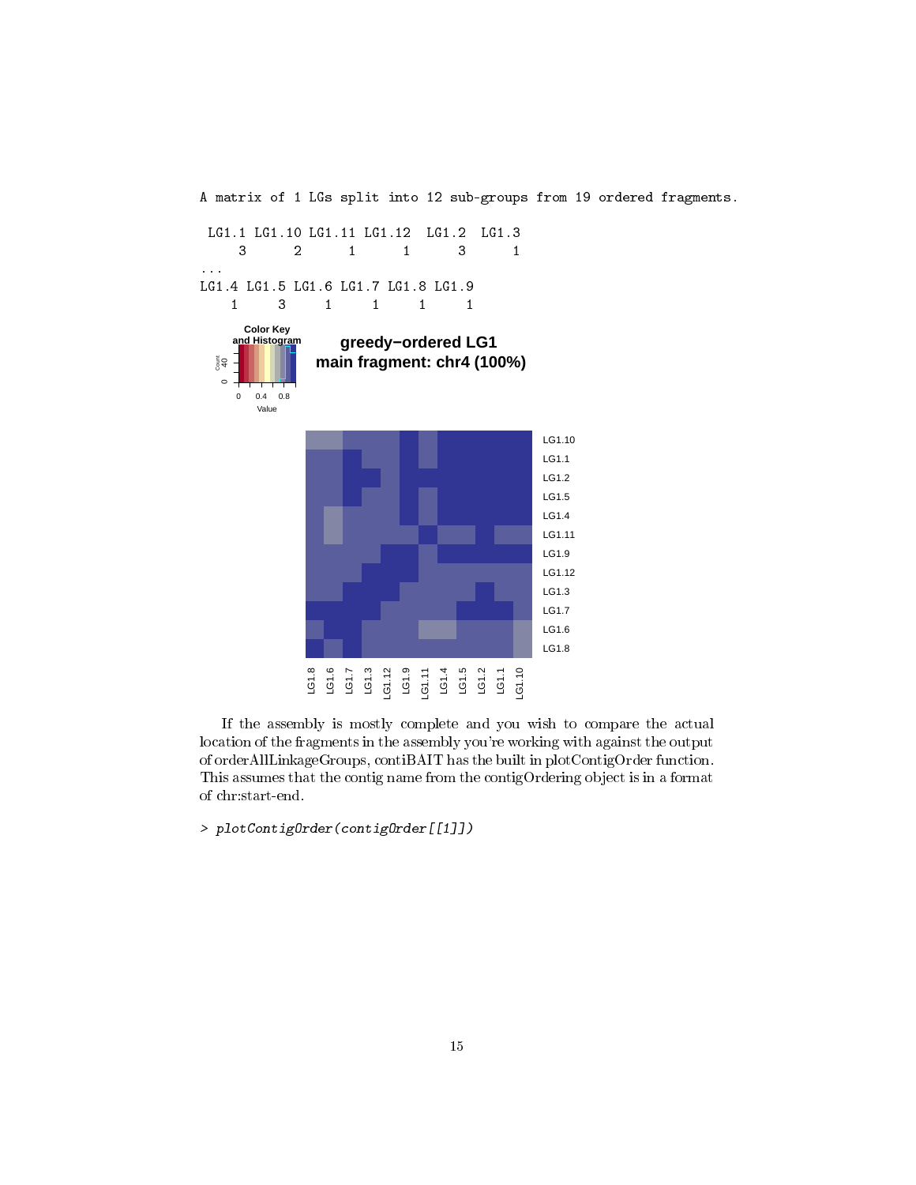

If the assembly is mostly complete and you wish to compare the actual location of the fragments in the assembly you're working with against the output of orderAllLinkageGroups, contiBAIT has the built in plotContigOrder function. This assumes that the contig name from the contigOrdering object is in a format of chr:start-end.

> plotContigOrder(contigOrder[[1]])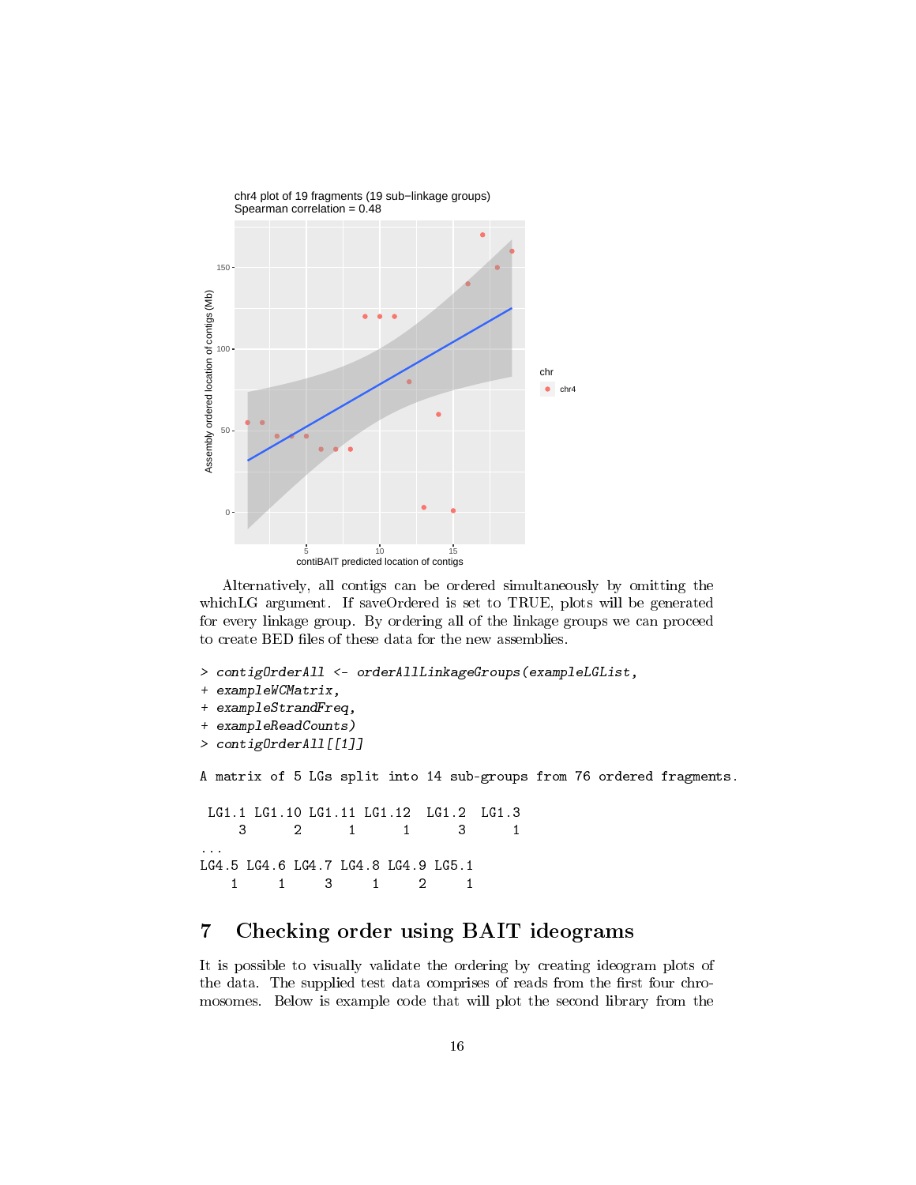

Alternatively, all contigs can be ordered simultaneously by omitting the whichLG argument. If saveOrdered is set to TRUE, plots will be generated for every linkage group. By ordering all of the linkage groups we can proceed to create BED files of these data for the new assemblies.

```
> contigOrderAll <- orderAllLinkageGroups(exampleLGList,
+ exampleWCMatrix,
+ exampleStrandFreq,
+ exampleReadCounts)
> contigOrderAll[[1]]
A matrix of 5 LGs split into 14 sub-groups from 76 ordered fragments.
LG1.1 LG1.10 LG1.11 LG1.12 LG1.2 LG1.3
    3 2 1 1 3 1
```

```
...
LG4.5 LG4.6 LG4.7 LG4.8 LG4.9 LG5.1
   1 1 3 1 2 1
```
# <span id="page-15-0"></span>7 Checking order using BAIT ideograms

It is possible to visually validate the ordering by creating ideogram plots of the data. The supplied test data comprises of reads from the first four chromosomes. Below is example code that will plot the second library from the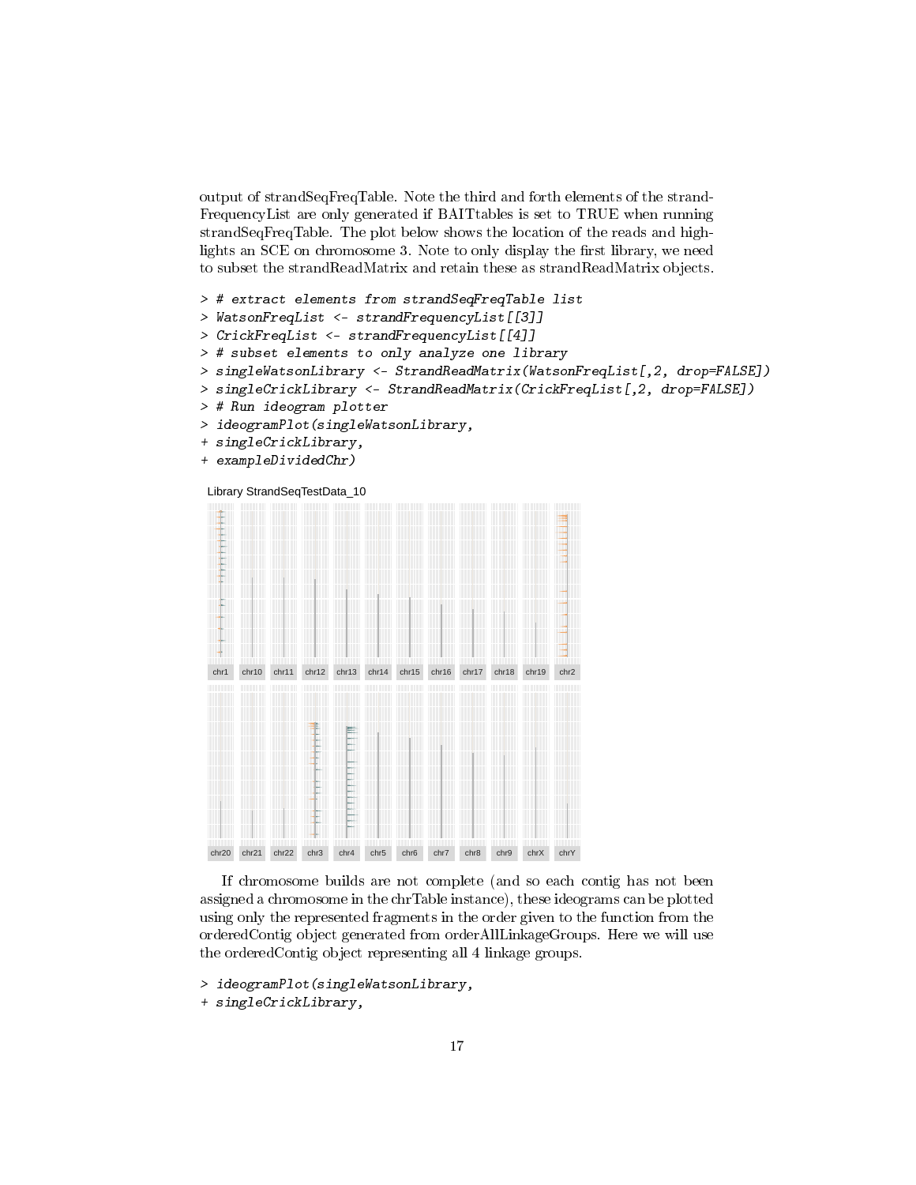output of strandSeqFreqTable. Note the third and forth elements of the strand-FrequencyList are only generated if BAITtables is set to TRUE when running strandSeqFreqTable. The plot below shows the location of the reads and highlights an SCE on chromosome 3. Note to only display the first library, we need to subset the strandReadMatrix and retain these as strandReadMatrix objects.

```
> # extract elements from strandSeqFreqTable list
> WatsonFreqList <- strandFrequencyList[[3]]
> CrickFreqList <- strandFrequencyList[[4]]
> # subset elements to only analyze one library
> singleWatsonLibrary <- StrandReadMatrix(WatsonFreqList[,2, drop=FALSE])
> singleCrickLibrary <- StrandReadMatrix(CrickFreqList[,2, drop=FALSE])
> # Run ideogram plotter
> ideogramPlot(singleWatsonLibrary,
+ singleCrickLibrary,
+ exampleDividedChr)
```




If chromosome builds are not complete (and so each contig has not been assigned a chromosome in the chrTable instance), these ideograms can be plotted using only the represented fragments in the order given to the function from the orderedContig object generated from orderAllLinkageGroups. Here we will use the orderedContig object representing all 4 linkage groups.

> ideogramPlot(singleWatsonLibrary,

+ singleCrickLibrary,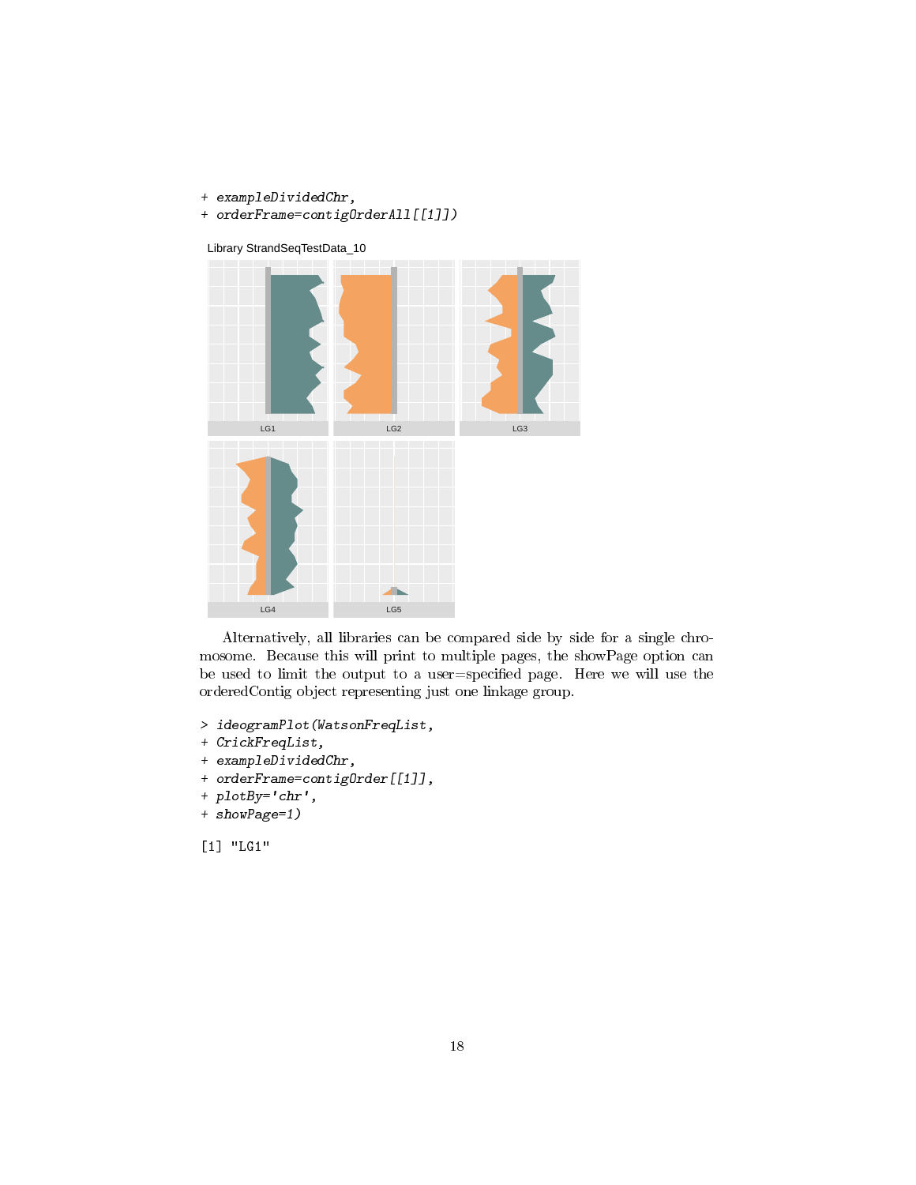- + exampleDividedChr,
- + orderFrame=contigOrderAll[[1]])



Library StrandSeqTestData\_10

Alternatively, all libraries can be compared side by side for a single chromosome. Because this will print to multiple pages, the showPage option can be used to limit the output to a user=specified page. Here we will use the orderedContig object representing just one linkage group.

- > ideogramPlot(WatsonFreqList,
- + CrickFreqList,
- + exampleDividedChr,
- + orderFrame=contigOrder[[1]],
- + plotBy='chr',
- + showPage=1)

[1] "LG1"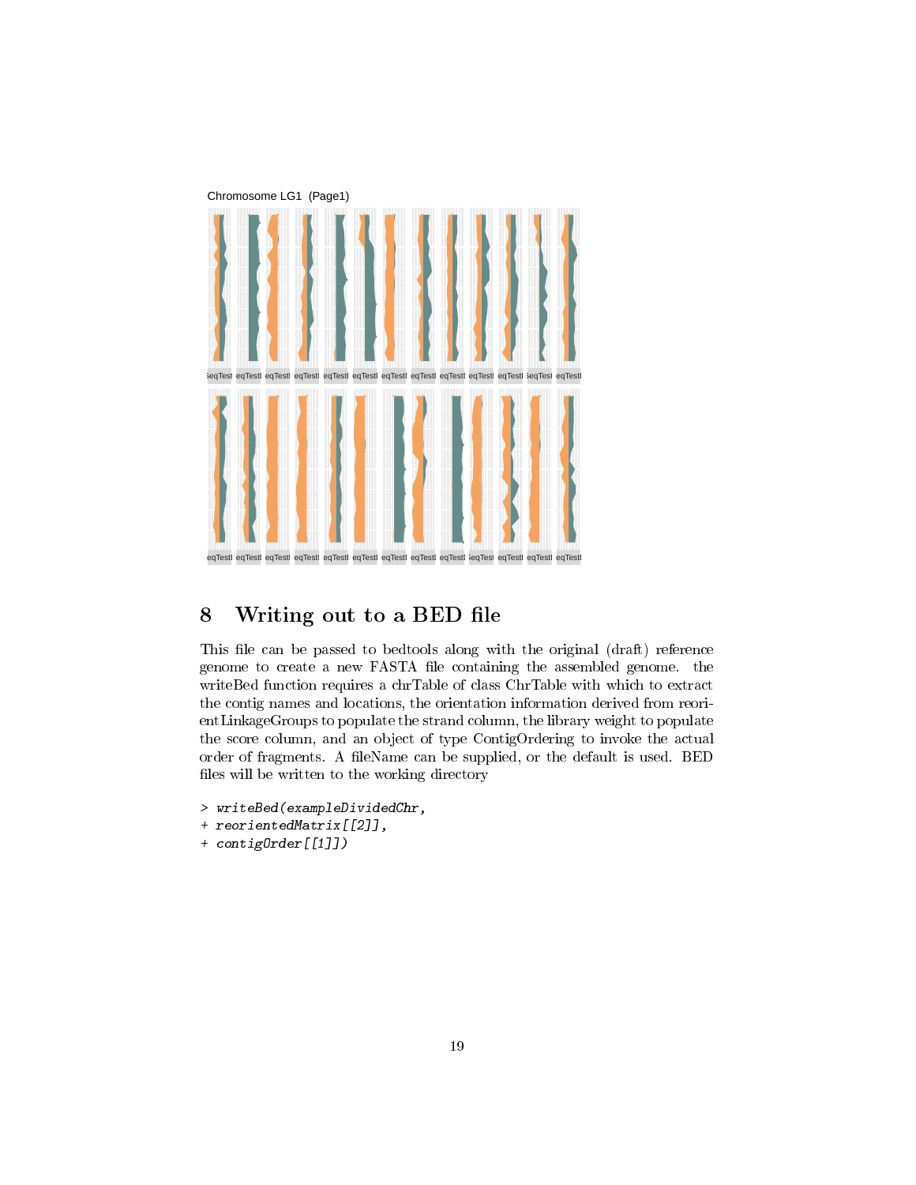

# <span id="page-18-0"></span>8 Writing out to a BED file

This file can be passed to bedtools along with the original (draft) reference genome to create a new FASTA file containing the assembled genome. the writeBed function requires a chrTable of class ChrTable with which to extract the contig names and locations, the orientation information derived from reorientLinkageGroups to populate the strand column, the library weight to populate the score column, and an object of type ContigOrdering to invoke the actual order of fragments. A fileName can be supplied, or the default is used. BED files will be written to the working directory

```
> writeBed(exampleDividedChr,
```
- + reorientedMatrix[[2]],
- + contigOrder[[1]])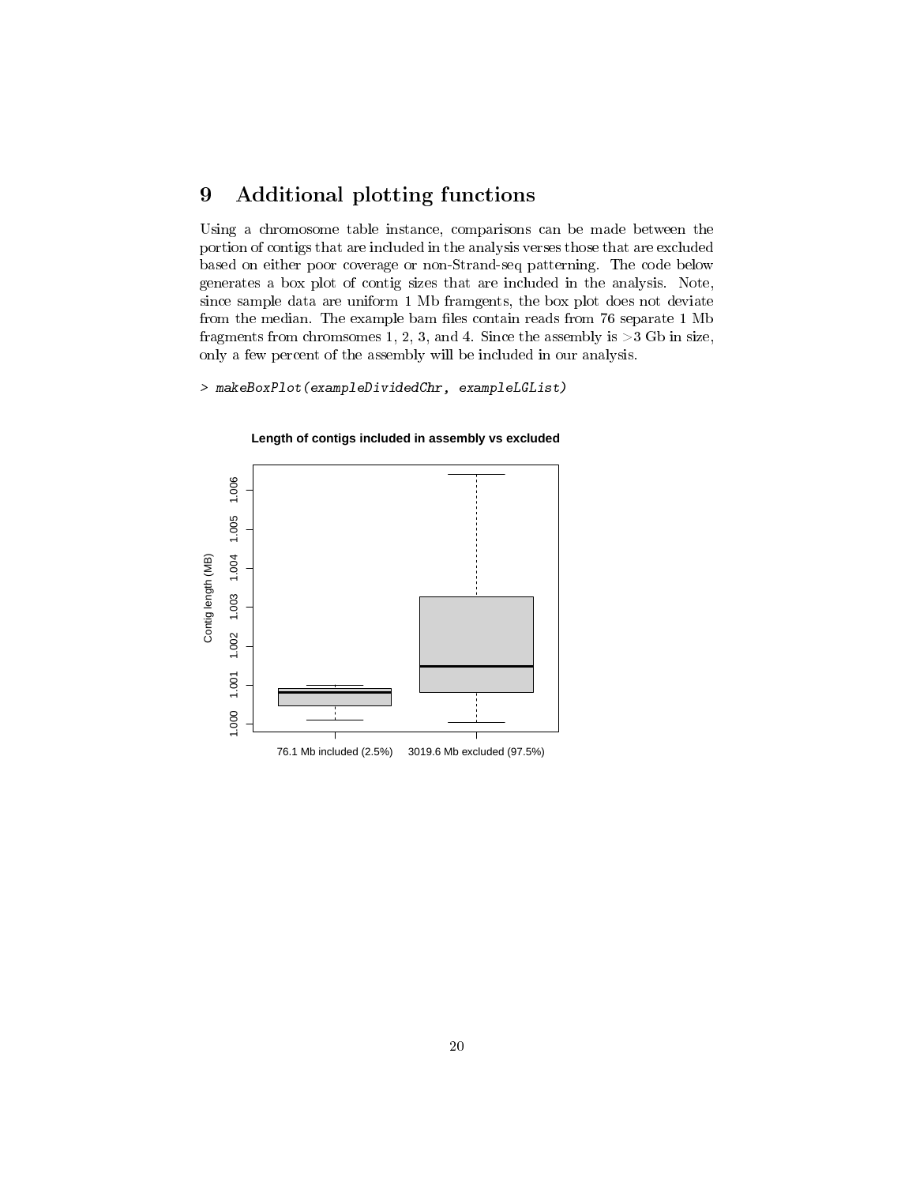## <span id="page-19-0"></span>9 Additional plotting functions

Using a chromosome table instance, comparisons can be made between the portion of contigs that are included in the analysis verses those that are excluded based on either poor coverage or non-Strand-seq patterning. The code below generates a box plot of contig sizes that are included in the analysis. Note, since sample data are uniform 1 Mb framgents, the box plot does not deviate from the median. The example bam files contain reads from 76 separate 1 Mb fragments from chromsomes 1, 2, 3, and 4. Since the assembly is  $>3$  Gb in size, only a few percent of the assembly will be included in our analysis.

> makeBoxPlot(exampleDividedChr, exampleLGList)



**Length of contigs included in assembly vs excluded**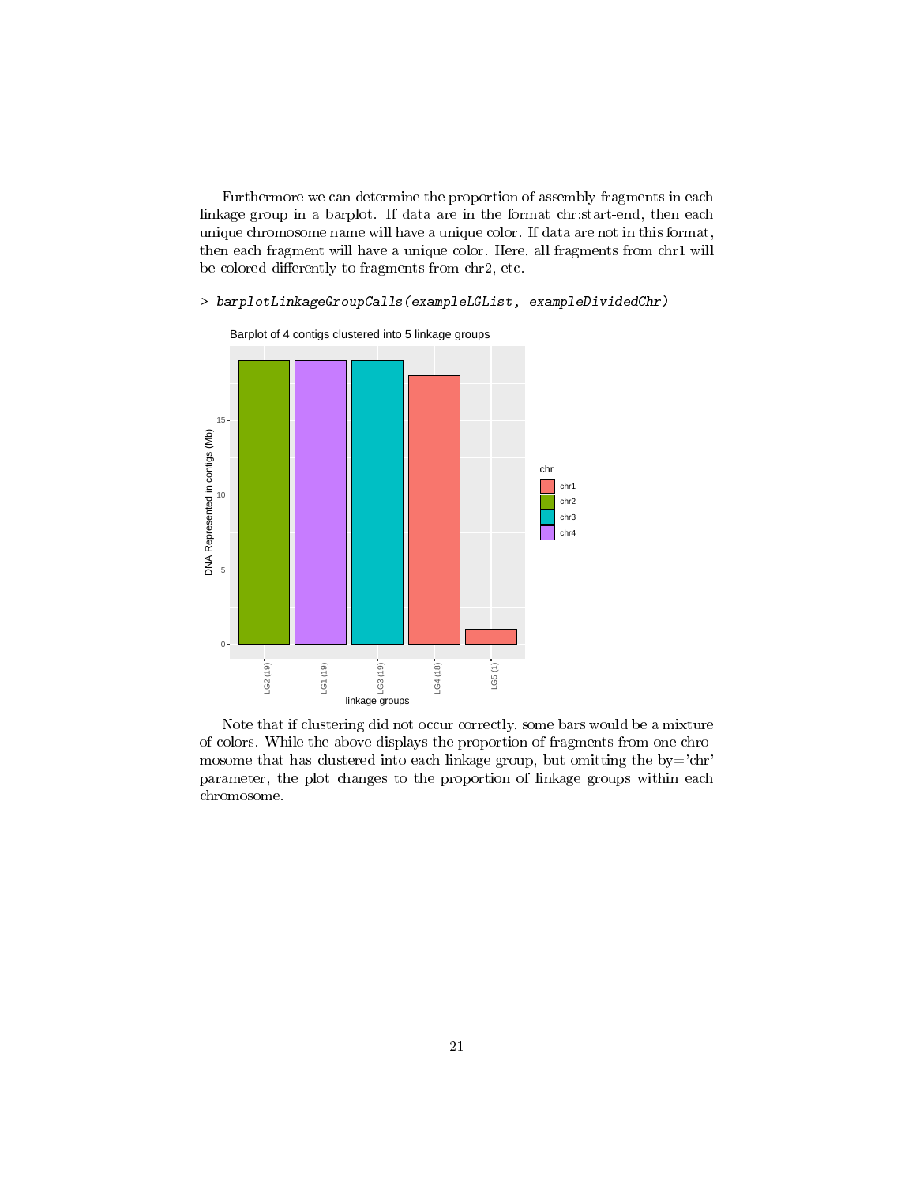Furthermore we can determine the proportion of assembly fragments in each linkage group in a barplot. If data are in the format chr:start-end, then each unique chromosome name will have a unique color. If data are not in this format, then each fragment will have a unique color. Here, all fragments from chr1 will be colored differently to fragments from chr2, etc.

#### > barplotLinkageGroupCalls(exampleLGList, exampleDividedChr)



Barplot of 4 contigs clustered into 5 linkage groups

Note that if clustering did not occur correctly, some bars would be a mixture of colors. While the above displays the proportion of fragments from one chromosome that has clustered into each linkage group, but omitting the  $by='chr'$ parameter, the plot changes to the proportion of linkage groups within each chromosome.